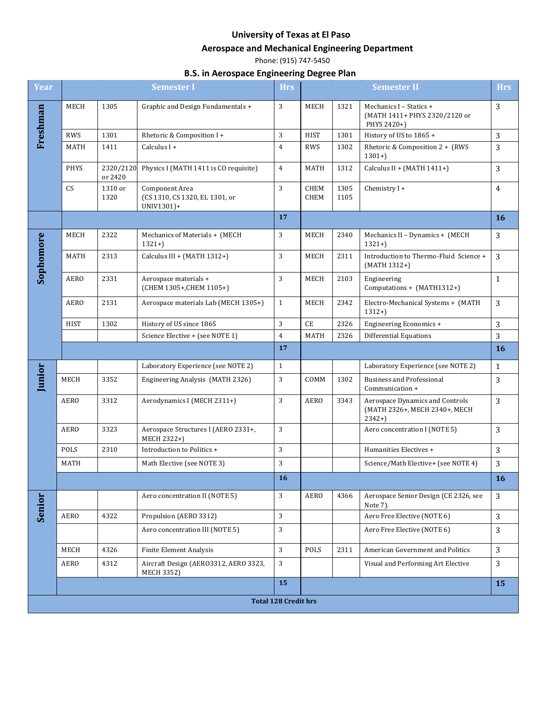## **University of Texas at El Paso**

## **Aerospace and Mechanical Engineering Department**

Phone: (915) 747-5450

## **B.S. in Aerospace Engineering Degree Plan**

| <b>Year</b> |                             |                      | <b>Semester I</b>                                                     | <b>Hrs</b>     |                     |              | <b>Semester II</b>                                                          | Hrs            |
|-------------|-----------------------------|----------------------|-----------------------------------------------------------------------|----------------|---------------------|--------------|-----------------------------------------------------------------------------|----------------|
| Freshman    | MECH                        | 1305                 | Graphic and Design Fundamentals +                                     | 3              | MECH                | 1321         | Mechanics I - Statics +<br>(MATH 1411+ PHYS 2320/2120 or<br>PHYS 2420+)     | 3              |
|             | <b>RWS</b>                  | 1301                 | Rhetoric & Composition I+                                             | 3              | <b>HIST</b>         | 1301         | History of US to 1865 +                                                     | 3              |
|             | MATH                        | 1411                 | Calculus I +                                                          | $\overline{4}$ | <b>RWS</b>          | 1302         | Rhetoric & Composition 2 + (RWS<br>$1301+$                                  | 3              |
|             | <b>PHYS</b>                 | 2320/2120<br>or 2420 | Physics I (MATH 1411 is CO requisite)                                 | $\overline{4}$ | <b>MATH</b>         | 1312         | Calculus II + (MATH 1411+)                                                  | 3              |
|             | CS                          | 1310 or<br>1320      | <b>Component Area</b><br>(CS 1310, CS 1320, EL 1301, or<br>UNIV1301)+ | 3              | <b>CHEM</b><br>CHEM | 1305<br>1105 | Chemistry I+                                                                | $\overline{4}$ |
|             |                             |                      |                                                                       | 17             |                     |              |                                                                             | <b>16</b>      |
|             | MECH                        | 2322                 | Mechanics of Materials + (MECH<br>$1321+$                             | 3              | MECH                | 2340         | Mechanics II - Dynamics + (MECH<br>$1321+$                                  | 3              |
| Sophomore   | MATH                        | 2313                 | Calculus III + (MATH 1312+)                                           | 3              | MECH                | 2311         | Introduction to Thermo-Fluid Science +<br>(MATH 1312+)                      | 3              |
|             | AERO                        | 2331                 | Aerospace materials +<br>(CHEM 1305+, CHEM 1105+)                     | 3              | MECH                | 2103         | Engineering<br>Computations + (MATH1312+)                                   | $\mathbf{1}$   |
|             | AERO                        | 2131                 | Aerospace materials Lab (MECH 1305+)                                  | $\mathbf{1}$   | MECH                | 2342         | Electro-Mechanical Systems + (MATH<br>$1312+$                               | 3              |
|             | <b>HIST</b>                 | 1302                 | History of US since 1865                                              | 3              | CE                  | 2326         | Engineering Economics +                                                     | 3              |
|             |                             |                      | Science Elective + (see NOTE 1)                                       | $\pmb{4}$      | <b>MATH</b>         | 2326         | <b>Differential Equations</b>                                               | 3              |
|             |                             |                      |                                                                       | 17             |                     |              |                                                                             | <b>16</b>      |
|             |                             |                      | Laboratory Experience (see NOTE 2)                                    | $\mathbf{1}$   |                     |              | Laboratory Experience (see NOTE 2)                                          | $\mathbf{1}$   |
| Junior      | MECH                        | 3352                 | Engineering Analysis (MATH 2326)                                      | 3              | COMM                | 1302         | <b>Business and Professional</b><br>Communication +                         | 3              |
|             | <b>AERO</b>                 | 3312                 | Aerodynamics I (MECH 2311+)                                           | 3              | <b>AERO</b>         | 3343         | Aerospace Dynamics and Controls<br>(MATH 2326+, MECH 2340+, MECH<br>$2342+$ | 3              |
|             | <b>AERO</b>                 | 3323                 | Aerospace Structures I (AERO 2331+,<br>MECH 2322+)                    | 3              |                     |              | Aero concentration I (NOTE 5)                                               | 3              |
|             | POLS                        | 2310                 | Introduction to Politics +                                            | 3              |                     |              | Humanities Electives +                                                      | 3              |
|             | MATH                        |                      | Math Elective (see NOTE 3)                                            | 3              |                     |              | Science/Math Elective+ (see NOTE 4)                                         | 3              |
|             |                             |                      |                                                                       | 16             |                     |              |                                                                             | 16             |
| Senior      |                             |                      | Aero concentration II (NOTE 5)                                        | 3              | <b>AERO</b>         | 4366         | Aerospace Senior Design (CE 2326, see<br>Note 7).                           | 3              |
|             | <b>AERO</b>                 | 4322                 | Propulsion (AERO 3312)                                                | 3              |                     |              | Aero Free Elective (NOTE 6)                                                 | 3              |
|             |                             |                      | Aero concentration III (NOTE 5)                                       | 3              |                     |              | Aero Free Elective (NOTE 6)                                                 | 3              |
|             | MECH                        | 4326                 | <b>Finite Element Analysis</b>                                        | 3              | POLS                | 2311         | American Government and Politics                                            | 3              |
|             | AERO                        | 4312                 | Aircraft Design (AERO3312, AERO 3323,<br><b>MECH 3352)</b>            | 3              |                     |              | Visual and Performing Art Elective                                          | 3              |
|             |                             |                      |                                                                       | 15             |                     |              |                                                                             | 15             |
|             | <b>Total 128 Credit hrs</b> |                      |                                                                       |                |                     |              |                                                                             |                |